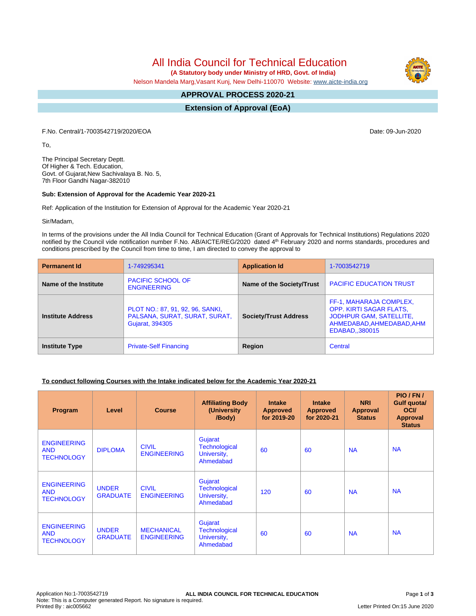All India Council for Technical Education

 **(A Statutory body under Ministry of HRD, Govt. of India)**

Nelson Mandela Marg,Vasant Kunj, New Delhi-110070 Website: [www.aicte-india.org](http://www.aicte-india.org)

#### **APPROVAL PROCESS 2020-21 -**

**Extension of Approval (EoA)**

F.No. Central/1-7003542719/2020/EOA Date: 09-Jun-2020

To,

The Principal Secretary Deptt. Of Higher & Tech. Education, Govt. of Gujarat,New Sachivalaya B. No. 5, 7th Floor Gandhi Nagar-382010

#### **Sub: Extension of Approval for the Academic Year 2020-21**

Ref: Application of the Institution for Extension of Approval for the Academic Year 2020-21

Sir/Madam,

In terms of the provisions under the All India Council for Technical Education (Grant of Approvals for Technical Institutions) Regulations 2020 notified by the Council vide notification number F.No. AB/AICTE/REG/2020 dated 4<sup>th</sup> February 2020 and norms standards, procedures and conditions prescribed by the Council from time to time, I am directed to convey the approval to

| <b>Permanent Id</b>      | 1-749295341                                                                                 | <b>Application Id</b>        | 1-7003542719                                                                                                                 |  |
|--------------------------|---------------------------------------------------------------------------------------------|------------------------------|------------------------------------------------------------------------------------------------------------------------------|--|
| Name of the Institute    | <b>PACIFIC SCHOOL OF</b><br><b>ENGINEERING</b>                                              | Name of the Society/Trust    | <b>PACIFIC EDUCATION TRUST</b>                                                                                               |  |
| <b>Institute Address</b> | PLOT NO.: 87, 91, 92, 96, SANKI,<br>PALSANA, SURAT, SURAT, SURAT,<br><b>Gujarat, 394305</b> | <b>Society/Trust Address</b> | FF-1, MAHARAJA COMPLEX,<br>OPP. KIRTI SAGAR FLATS,<br>JODHPUR GAM, SATELLITE,<br>AHMEDABAD, AHMEDABAD, AHM<br>EDABAD,,380015 |  |
| <b>Institute Type</b>    | <b>Private-Self Financing</b>                                                               | Region                       | Central                                                                                                                      |  |

### **To conduct following Courses with the Intake indicated below for the Academic Year 2020-21**

| Program                                               | Level                           | <b>Course</b>                           | <b>Affiliating Body</b><br>(University<br>/Body)            | <b>Intake</b><br><b>Approved</b><br>for 2019-20 | <b>Intake</b><br><b>Approved</b><br>for 2020-21 | <b>NRI</b><br>Approval<br><b>Status</b> | PIO/FN/<br>Gulf quota/<br><b>OCI</b><br><b>Approval</b><br><b>Status</b> |
|-------------------------------------------------------|---------------------------------|-----------------------------------------|-------------------------------------------------------------|-------------------------------------------------|-------------------------------------------------|-----------------------------------------|--------------------------------------------------------------------------|
| <b>ENGINEERING</b><br><b>AND</b><br><b>TECHNOLOGY</b> | <b>DIPLOMA</b>                  | <b>CIVIL</b><br><b>ENGINEERING</b>      | Gujarat<br><b>Technological</b><br>University,<br>Ahmedabad | 60                                              | 60                                              | <b>NA</b>                               | <b>NA</b>                                                                |
| <b>ENGINEERING</b><br><b>AND</b><br><b>TECHNOLOGY</b> | <b>UNDER</b><br><b>GRADUATE</b> | <b>CIVIL</b><br><b>ENGINEERING</b>      | Gujarat<br><b>Technological</b><br>University,<br>Ahmedabad | 120                                             | 60                                              | <b>NA</b>                               | <b>NA</b>                                                                |
| <b>ENGINEERING</b><br><b>AND</b><br><b>TECHNOLOGY</b> | <b>UNDER</b><br><b>GRADUATE</b> | <b>MECHANICAL</b><br><b>ENGINEERING</b> | Gujarat<br><b>Technological</b><br>University,<br>Ahmedabad | 60                                              | 60                                              | <b>NA</b>                               | <b>NA</b>                                                                |

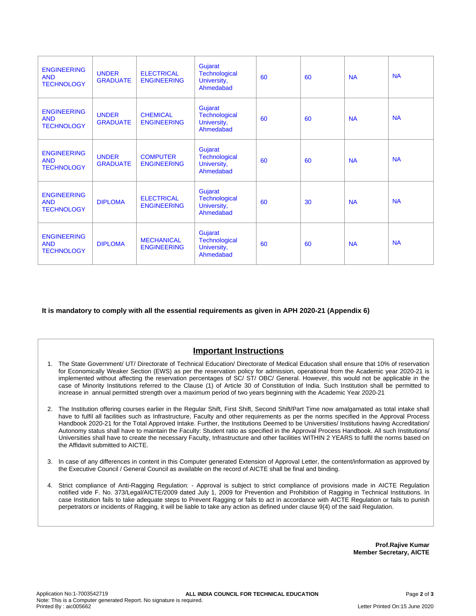| <b>ENGINEERING</b><br><b>AND</b><br><b>TECHNOLOGY</b> | <b>UNDER</b><br><b>GRADUATE</b> | <b>ELECTRICAL</b><br><b>ENGINEERING</b> | Gujarat<br><b>Technological</b><br>University,<br>Ahmedabad | 60 | 60 | <b>NA</b> | <b>NA</b> |
|-------------------------------------------------------|---------------------------------|-----------------------------------------|-------------------------------------------------------------|----|----|-----------|-----------|
| <b>ENGINEERING</b><br><b>AND</b><br><b>TECHNOLOGY</b> | <b>UNDER</b><br><b>GRADUATE</b> | <b>CHEMICAL</b><br><b>ENGINEERING</b>   | Gujarat<br><b>Technological</b><br>University,<br>Ahmedabad | 60 | 60 | <b>NA</b> | <b>NA</b> |
| <b>ENGINEERING</b><br><b>AND</b><br><b>TECHNOLOGY</b> | <b>UNDER</b><br><b>GRADUATE</b> | <b>COMPUTER</b><br><b>ENGINEERING</b>   | Gujarat<br><b>Technological</b><br>University,<br>Ahmedabad | 60 | 60 | <b>NA</b> | <b>NA</b> |
| <b>ENGINEERING</b><br><b>AND</b><br><b>TECHNOLOGY</b> | <b>DIPLOMA</b>                  | <b>ELECTRICAL</b><br><b>ENGINEERING</b> | Gujarat<br><b>Technological</b><br>University,<br>Ahmedabad | 60 | 30 | <b>NA</b> | <b>NA</b> |
| <b>ENGINEERING</b><br><b>AND</b><br><b>TECHNOLOGY</b> | <b>DIPLOMA</b>                  | <b>MECHANICAL</b><br><b>ENGINEERING</b> | Gujarat<br><b>Technological</b><br>University,<br>Ahmedabad | 60 | 60 | <b>NA</b> | <b>NA</b> |

**It is mandatory to comply with all the essential requirements as given in APH 2020-21 (Appendix 6)**

# **Important Instructions**

- 1. The State Government/ UT/ Directorate of Technical Education/ Directorate of Medical Education shall ensure that 10% of reservation for Economically Weaker Section (EWS) as per the reservation policy for admission, operational from the Academic year 2020-21 is implemented without affecting the reservation percentages of SC/ ST/ OBC/ General. However, this would not be applicable in the case of Minority Institutions referred to the Clause (1) of Article 30 of Constitution of India. Such Institution shall be permitted to increase in annual permitted strength over a maximum period of two years beginning with the Academic Year 2020-21
- 2. The Institution offering courses earlier in the Regular Shift, First Shift, Second Shift/Part Time now amalgamated as total intake shall have to fulfil all facilities such as Infrastructure, Faculty and other requirements as per the norms specified in the Approval Process Handbook 2020-21 for the Total Approved Intake. Further, the Institutions Deemed to be Universities/ Institutions having Accreditation/ Autonomy status shall have to maintain the Faculty: Student ratio as specified in the Approval Process Handbook. All such Institutions/ Universities shall have to create the necessary Faculty, Infrastructure and other facilities WITHIN 2 YEARS to fulfil the norms based on the Affidavit submitted to AICTE.
- 3. In case of any differences in content in this Computer generated Extension of Approval Letter, the content/information as approved by the Executive Council / General Council as available on the record of AICTE shall be final and binding.
- 4. Strict compliance of Anti-Ragging Regulation: Approval is subject to strict compliance of provisions made in AICTE Regulation notified vide F. No. 373/Legal/AICTE/2009 dated July 1, 2009 for Prevention and Prohibition of Ragging in Technical Institutions. In case Institution fails to take adequate steps to Prevent Ragging or fails to act in accordance with AICTE Regulation or fails to punish perpetrators or incidents of Ragging, it will be liable to take any action as defined under clause 9(4) of the said Regulation.

**Prof.Rajive Kumar Member Secretary, AICTE**